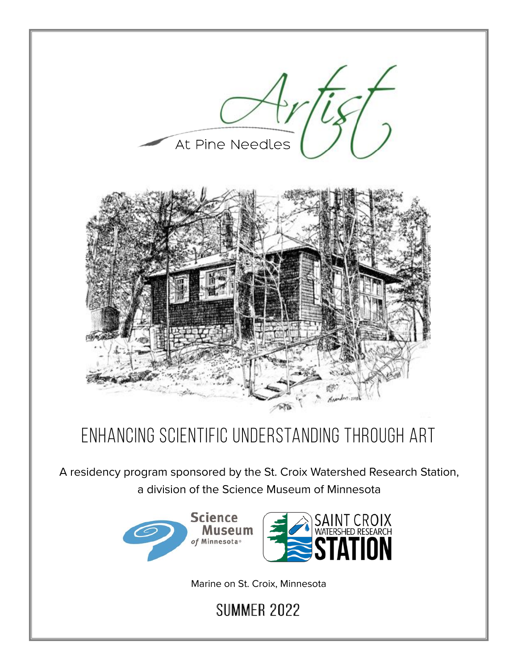

# ENHANCING SCIENTIFIC UNDERSTANDING THROUGH ART

A residency program sponsored by the St. Croix Watershed Research Station, a division of the Science Museum of Minnesota



Marine on St. Croix, Minnesota

**SUMMER 2022**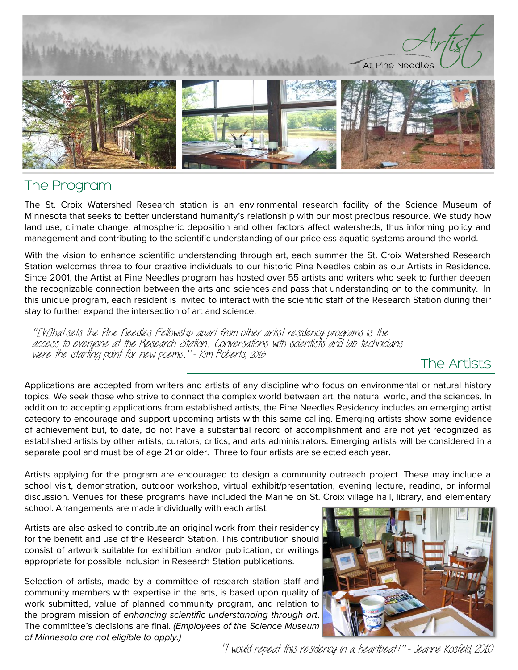

### The Program

The St. Croix Watershed Research station is an environmental research facility of the Science Museum of Minnesota that seeks to better understand humanity's relationship with our most precious resource. We study how land use, climate change, atmospheric deposition and other factors affect watersheds, thus informing policy and management and contributing to the scientific understanding of our priceless aguatic systems around the world.

With the vision to enhance scientific understanding through art, each summer the St. Croix Watershed Research Station welcomes three to four creative individuals to our historic Pine Needles cabin as our Artists in Residence. Since 2001, the Artist at Pine Needles program has hosted over 55 artists and writers who seek to further deepen the recognizable connection between the arts and sciences and pass that understanding on to the community. In this unique program, each resident is invited to interact with the scientific staff of the Research Station during their stay to further expand the intersection of art and science.

"[W]hatsets the Pine Needles Fellowship apart from other artist residency programs is the access to everyone at the Research Station. Conversations with scientists and lab technicians were the starting point for new poems." - Kim Roberts, 2016

### The Artists

Applications are accepted from writers and artists of any discipline who focus on environmental or natural history topics. We seek those who strive to connect the complex world between art, the natural world, and the sciences. In addition to accepting applications from established artists, the Pine Needles Residency includes an emerging artist category to encourage and support upcoming artists with this same calling. Emerging artists show some evidence of achievement but, to date, do not have a substantial record of accomplishment and are not yet recognized as established artists by other artists, curators, critics, and arts administrators. Emerging artists will be considered in a separate pool and must be of age 21 or older. Three to four artists are selected each year.

Artists applying for the program are encouraged to design a community outreach project. These may include a school visit, demonstration, outdoor workshop, virtual exhibit/presentation, evening lecture, reading, or informal discussion. Venues for these programs have included the Marine on St. Croix village hall, library, and elementary school. Arrangements are made individually with each artist.

Artists are also asked to contribute an original work from their residency for the benefit and use of the Research Station. This contribution should consist of artwork suitable for exhibition and/or publication, or writings appropriate for possible inclusion in Research Station publications.

Selection of artists, made by a committee of research station staff and community members with expertise in the arts, is based upon quality of work submitted, value of planned community program, and relation to the program mission of enhancing scientific understanding through art. The committee's decisions are final. (Employees of the Science Museum of Minnesota are not eligible to apply.)



"I would repeat this residency in a heartbeat!" - Jeanne Kosfeld, 2010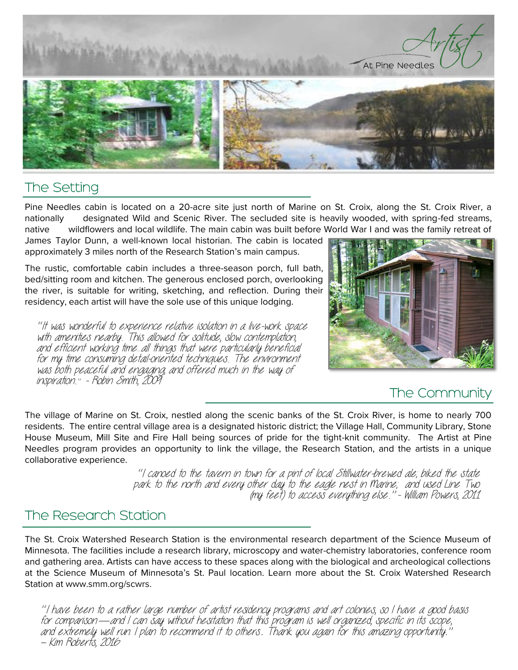

### The Setting

Pine Needles cabin is located on a 20-acre site just north of Marine on St. Croix, along the St. Croix River, a designated Wild and Scenic River. The secluded site is heavily wooded, with spring-fed streams, nationally wildflowers and local wildlife. The main cabin was built before World War I and was the family retreat of native

James Taylor Dunn, a well-known local historian. The cabin is located approximately 3 miles north of the Research Station's main campus.

The rustic, comfortable cabin includes a three-season porch, full bath, bed/sitting room and kitchen. The generous enclosed porch, overlooking the river, is suitable for writing, sketching, and reflection. During their residency, each artist will have the sole use of this unique lodging.

"It was wonderful to experience relative isolation in a live-work space with amenities nearby. This allowed for solitude, slow contemplation, and efficient working time...all things that were particularly beneficial for my time consuming detail-oriented techniques. The environment was both peaceful and engaging, and offered much in the way of inspiration." - Robin Smith, 2009



### The Community

The village of Marine on St. Croix, nestled along the scenic banks of the St. Croix River, is home to nearly 700 residents. The entire central village area is a designated historic district; the Village Hall, Community Library, Stone House Museum, Mill Site and Fire Hall being sources of pride for the tight-knit community. The Artist at Pine Needles program provides an opportunity to link the village, the Research Station, and the artists in a unique collaborative experience.

> "I canoed to the tavern in town for a pint of local Stillwater-brewed ale, biked the state park to the north and every other day to the eagle nest in Marine; and used Line Two (my feet) to access everything else." - William Powers, 2011

### The Research Station

The St. Croix Watershed Research Station is the environmental research department of the Science Museum of Minnesota. The facilities include a research library, microscopy and water-chemistry laboratories, conference room and gathering area. Artists can have access to these spaces along with the biological and archeological collections at the Science Museum of Minnesota's St. Paul location. Learn more about the St. Croix Watershed Research Station at www.smm.org/scwrs.

"I have been to a rather large number of artist residency programs and art colonies, so I have a good basis in comparison — and I can say without hesitation that this program is well organized, specific in its scope,<br>and extremely well run. I plan to recommend it to others. Thank you again for this amazing opportunity." – Kim Roberts, 2016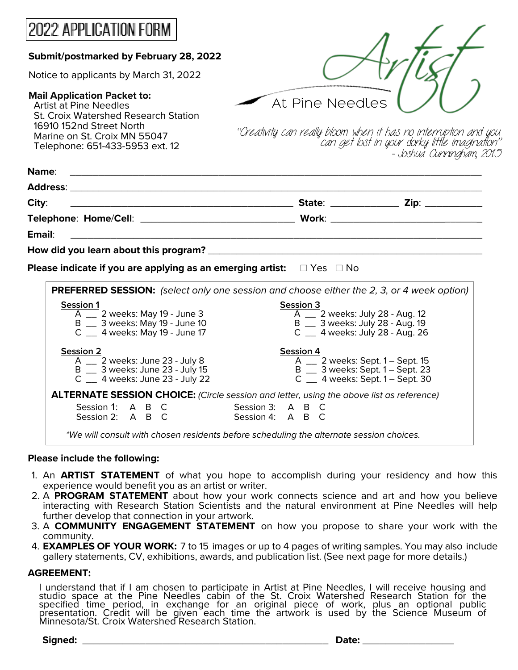| 2022 APPLICATION FORM                                                                                                                                                   |                                                                                                                                                                                                                                  |  |
|-------------------------------------------------------------------------------------------------------------------------------------------------------------------------|----------------------------------------------------------------------------------------------------------------------------------------------------------------------------------------------------------------------------------|--|
| Submit/postmarked by February 28, 2022                                                                                                                                  |                                                                                                                                                                                                                                  |  |
| Notice to applicants by March 31, 2022                                                                                                                                  |                                                                                                                                                                                                                                  |  |
| <b>Mail Application Packet to:</b><br><b>Artist at Pine Needles</b><br>St. Croix Watershed Research Station<br>16910 152nd Street North<br>Marine on St. Croix MN 55047 | At Pine Needles                                                                                                                                                                                                                  |  |
| Telephone: 651-433-5953 ext. 12                                                                                                                                         | "Creativity can really bloom when it has no interruption and you<br>"can get lost in your dorky little imagination"<br>- Joshua Cunningham, 2015                                                                                 |  |
| Name:                                                                                                                                                                   |                                                                                                                                                                                                                                  |  |
| City:                                                                                                                                                                   |                                                                                                                                                                                                                                  |  |
|                                                                                                                                                                         |                                                                                                                                                                                                                                  |  |
| Email:                                                                                                                                                                  |                                                                                                                                                                                                                                  |  |
|                                                                                                                                                                         |                                                                                                                                                                                                                                  |  |
| Please indicate if you are applying as an emerging artist: $\square$ Yes $\square$ No                                                                                   |                                                                                                                                                                                                                                  |  |
| <b>Session 1</b><br>$\overline{A}$ 2 weeks: May 19 - June 3<br>B _ 3 weeks: May 19 - June 10<br>$C_$ $\equiv$ 4 weeks: May 19 - June 17                                 | <b>PREFERRED SESSION:</b> (select only one session and choose either the 2, 3, or 4 week option)<br>Session 3<br>$\overline{A}$ _ 2 weeks: July 28 - Aug. 12<br>B _ 3 weeks: July 28 - Aug. 19<br>C _ 4 weeks: July 28 - Aug. 26 |  |
| <b>Session 2</b><br>$\overline{A}$ _ 2 weeks: June 23 - July 8<br>B __ 3 weeks: June 23 - July 15<br>$C_$ $\equiv$ 4 weeks: June 23 - July 22                           | Session 4<br>A __ 2 weeks: Sept. 1 - Sept. 15<br>B _ 3 weeks: Sept. 1 - Sept. 23<br>C $\_\_\$ 4 weeks: Sept. 1 – Sept. 30                                                                                                        |  |
| Session 1: A B C<br>Session 2: A B C                                                                                                                                    | ALTERNATE SESSION CHOICE: (Circle session and letter, using the above list as reference)<br>Session 3: A B C                                                                                                                     |  |
|                                                                                                                                                                         | Session 4: A B C<br>*We will consult with chosen residents before scheduling the alternate session choices.                                                                                                                      |  |

#### **Flease include the following:**

- 1. An **ARTIST STATEMENT** of what you hope to accomplish during your residency and how this experience would benefit you as an artist or writer.
- 2. A PROGRAM STATEMENT about how your work connects science and art and how you believe interacting with Research Station Scientists and the natural environment at Pine Needles will help further develop that connection in your artwork.
- 3. A **COMMUNITY ENGAGEMENT STATEMENT** on how you propose to share your work with the community.
- 4. **EXAMPLES OF YOUR WORK:** 7 to 15 images or up to 4 pages of writing samples. You may also include gallery statements, CV, exhibitions, awards, and publication list. (See next page for more details.)

#### $AGREEMENT:$

I understand that if I am chosen to participate in Artist at Pine Needles, I will receive housing and studio space at the Pine Needles cabin of the St. Croix Watershed Research Station for the specified time period, in exchange for an original piece of work, plus an optional public presentation. Credit will be given each time the artwork is used by the Science Museum of Minnesota/St. Croix Watershed Research Station.

| Signed:<br>uw. | . isto: |
|----------------|---------|
|                |         |